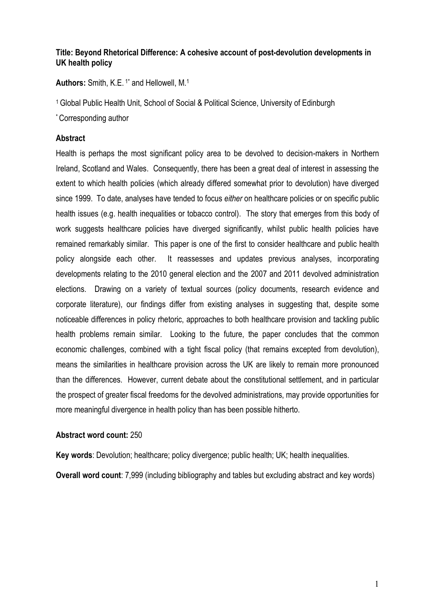# **Title: Beyond Rhetorical Difference: A cohesive account of post-devolution developments in UK health policy**

**Authors:** Smith, K.E. 1\* and Hellowell, M. 1

<sup>1</sup>Global Public Health Unit, School of Social & Political Science, University of Edinburgh

\*Corresponding author

## **Abstract**

Health is perhaps the most significant policy area to be devolved to decision-makers in Northern Ireland, Scotland and Wales. Consequently, there has been a great deal of interest in assessing the extent to which health policies (which already differed somewhat prior to devolution) have diverged since 1999. To date, analyses have tended to focus *either* on healthcare policies or on specific public health issues (e.g. health inequalities or tobacco control). The story that emerges from this body of work suggests healthcare policies have diverged significantly, whilst public health policies have remained remarkably similar. This paper is one of the first to consider healthcare and public health policy alongside each other. It reassesses and updates previous analyses, incorporating developments relating to the 2010 general election and the 2007 and 2011 devolved administration elections. Drawing on a variety of textual sources (policy documents, research evidence and corporate literature), our findings differ from existing analyses in suggesting that, despite some noticeable differences in policy rhetoric, approaches to both healthcare provision and tackling public health problems remain similar. Looking to the future, the paper concludes that the common economic challenges, combined with a tight fiscal policy (that remains excepted from devolution), means the similarities in healthcare provision across the UK are likely to remain more pronounced than the differences. However, current debate about the constitutional settlement, and in particular the prospect of greater fiscal freedoms for the devolved administrations, may provide opportunities for more meaningful divergence in health policy than has been possible hitherto.

#### **Abstract word count:** 250

**Key words**: Devolution; healthcare; policy divergence; public health; UK; health inequalities.

**Overall word count**: 7,999 (including bibliography and tables but excluding abstract and key words)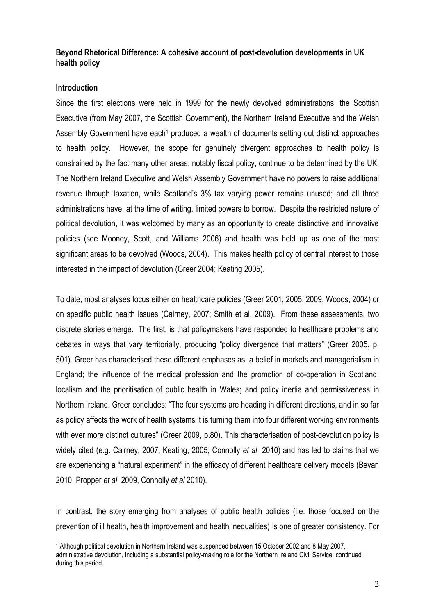## **Beyond Rhetorical Difference: A cohesive account of post-devolution developments in UK health policy**

### **Introduction**

 $\overline{a}$ 

Since the first elections were held in 1999 for the newly devolved administrations, the Scottish Executive (from May 2007, the Scottish Government), the Northern Ireland Executive and the Welsh Assembly Government have each<sup>1</sup> produced a wealth of documents setting out distinct approaches to health policy. However, the scope for genuinely divergent approaches to health policy is constrained by the fact many other areas, notably fiscal policy, continue to be determined by the UK. The Northern Ireland Executive and Welsh Assembly Government have no powers to raise additional revenue through taxation, while Scotland's 3% tax varying power remains unused; and all three administrations have, at the time of writing, limited powers to borrow. Despite the restricted nature of political devolution, it was welcomed by many as an opportunity to create distinctive and innovative policies (see Mooney, Scott, and Williams 2006) and health was held up as one of the most significant areas to be devolved (Woods, 2004). This makes health policy of central interest to those interested in the impact of devolution (Greer 2004; Keating 2005).

To date, most analyses focus either on healthcare policies (Greer 2001; 2005; 2009; Woods, 2004) or on specific public health issues (Cairney, 2007; Smith et al, 2009). From these assessments, two discrete stories emerge. The first, is that policymakers have responded to healthcare problems and debates in ways that vary territorially, producing "policy divergence that matters" (Greer 2005, p. 501). Greer has characterised these different emphases as: a belief in markets and managerialism in England; the influence of the medical profession and the promotion of co-operation in Scotland; localism and the prioritisation of public health in Wales; and policy inertia and permissiveness in Northern Ireland. Greer concludes: "The four systems are heading in different directions, and in so far as policy affects the work of health systems it is turning them into four different working environments with ever more distinct cultures" (Greer 2009, p.80). This characterisation of post-devolution policy is widely cited (e.g. Cairney, 2007; Keating, 2005; Connolly *et al* 2010) and has led to claims that we are experiencing a "natural experiment" in the efficacy of different healthcare delivery models (Bevan 2010, Propper *et al* 2009, Connolly *et al* 2010).

In contrast, the story emerging from analyses of public health policies (i.e. those focused on the prevention of ill health, health improvement and health inequalities) is one of greater consistency. For

<sup>1</sup> Although political devolution in Northern Ireland was suspended between 15 October 2002 and 8 May 2007, administrative devolution, including a substantial policy-making role for the Northern Ireland Civil Service, continued during this period.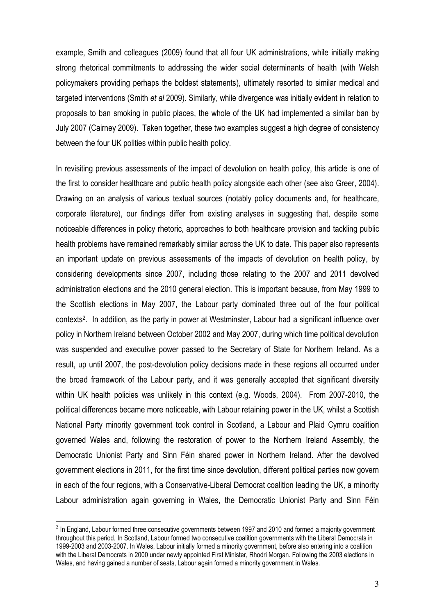example, Smith and colleagues (2009) found that all four UK administrations, while initially making strong rhetorical commitments to addressing the wider social determinants of health (with Welsh policymakers providing perhaps the boldest statements), ultimately resorted to similar medical and targeted interventions (Smith *et al* 2009). Similarly, while divergence was initially evident in relation to proposals to ban smoking in public places, the whole of the UK had implemented a similar ban by July 2007 (Cairney 2009). Taken together, these two examples suggest a high degree of consistency between the four UK polities within public health policy.

In revisiting previous assessments of the impact of devolution on health policy, this article is one of the first to consider healthcare and public health policy alongside each other (see also Greer, 2004). Drawing on an analysis of various textual sources (notably policy documents and, for healthcare, corporate literature), our findings differ from existing analyses in suggesting that, despite some noticeable differences in policy rhetoric, approaches to both healthcare provision and tackling public health problems have remained remarkably similar across the UK to date. This paper also represents an important update on previous assessments of the impacts of devolution on health policy, by considering developments since 2007, including those relating to the 2007 and 2011 devolved administration elections and the 2010 general election. This is important because, from May 1999 to the Scottish elections in May 2007, the Labour party dominated three out of the four political contexts<sup>2</sup> . In addition, as the party in power at Westminster, Labour had a significant influence over policy in Northern Ireland between October 2002 and May 2007, during which time political devolution was suspended and executive power passed to the Secretary of State for Northern Ireland. As a result, up until 2007, the post-devolution policy decisions made in these regions all occurred under the broad framework of the Labour party, and it was generally accepted that significant diversity within UK health policies was unlikely in this context (e.g. Woods, 2004). From 2007-2010, the political differences became more noticeable, with Labour retaining power in the UK, whilst a Scottish National Party minority government took control in Scotland, a Labour and Plaid Cymru coalition governed Wales and, following the restoration of power to the Northern Ireland Assembly, the Democratic Unionist Party and Sinn Féin shared power in Northern Ireland. After the devolved government elections in 2011, for the first time since devolution, different political parties now govern in each of the four regions, with a Conservative-Liberal Democrat coalition leading the UK, a minority Labour administration again governing in Wales, the Democratic Unionist Party and Sinn Féin

 $\overline{a}$ 

 $2$  In England, Labour formed three consecutive governments between 1997 and 2010 and formed a majority government throughout this period. In Scotland, Labour formed two consecutive coalition governments with the Liberal Democrats in 1999-2003 and 2003-2007. In Wales, Labour initially formed a minority government, before also entering into a coalition with the Liberal Democrats in 2000 under newly appointed First Minister, Rhodri Morgan. Following the 2003 elections in Wales, and having gained a number of seats, Labour again formed a minority government in Wales.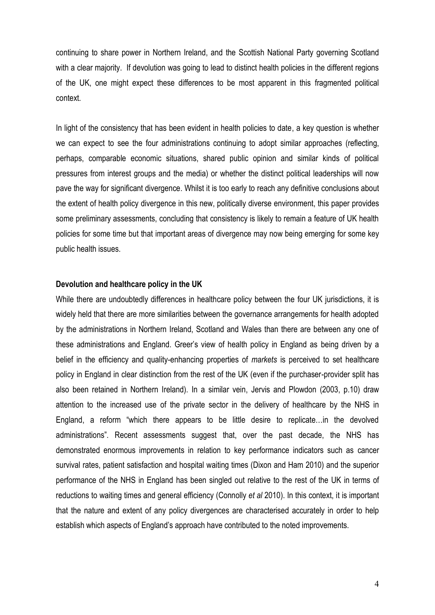continuing to share power in Northern Ireland, and the Scottish National Party governing Scotland with a clear majority. If devolution was going to lead to distinct health policies in the different regions of the UK, one might expect these differences to be most apparent in this fragmented political context.

In light of the consistency that has been evident in health policies to date, a key question is whether we can expect to see the four administrations continuing to adopt similar approaches (reflecting, perhaps, comparable economic situations, shared public opinion and similar kinds of political pressures from interest groups and the media) or whether the distinct political leaderships will now pave the way for significant divergence. Whilst it is too early to reach any definitive conclusions about the extent of health policy divergence in this new, politically diverse environment, this paper provides some preliminary assessments, concluding that consistency is likely to remain a feature of UK health policies for some time but that important areas of divergence may now being emerging for some key public health issues.

#### **Devolution and healthcare policy in the UK**

While there are undoubtedly differences in healthcare policy between the four UK jurisdictions, it is widely held that there are more similarities between the governance arrangements for health adopted by the administrations in Northern Ireland, Scotland and Wales than there are between any one of these administrations and England. Greer's view of health policy in England as being driven by a belief in the efficiency and quality-enhancing properties of *markets* is perceived to set healthcare policy in England in clear distinction from the rest of the UK (even if the purchaser-provider split has also been retained in Northern Ireland). In a similar vein, Jervis and Plowdon (2003, p.10) draw attention to the increased use of the private sector in the delivery of healthcare by the NHS in England, a reform "which there appears to be little desire to replicate…in the devolved administrations". Recent assessments suggest that, over the past decade, the NHS has demonstrated enormous improvements in relation to key performance indicators such as cancer survival rates, patient satisfaction and hospital waiting times (Dixon and Ham 2010) and the superior performance of the NHS in England has been singled out relative to the rest of the UK in terms of reductions to waiting times and general efficiency (Connolly *et al* 2010). In this context, it is important that the nature and extent of any policy divergences are characterised accurately in order to help establish which aspects of England's approach have contributed to the noted improvements.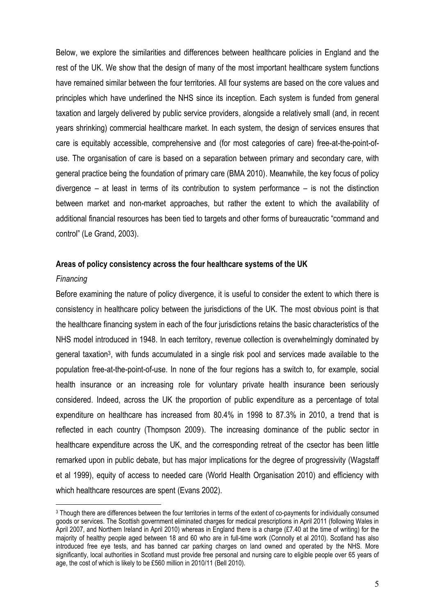Below, we explore the similarities and differences between healthcare policies in England and the rest of the UK. We show that the design of many of the most important healthcare system functions have remained similar between the four territories. All four systems are based on the core values and principles which have underlined the NHS since its inception. Each system is funded from general taxation and largely delivered by public service providers, alongside a relatively small (and, in recent years shrinking) commercial healthcare market. In each system, the design of services ensures that care is equitably accessible, comprehensive and (for most categories of care) free-at-the-point-ofuse. The organisation of care is based on a separation between primary and secondary care, with general practice being the foundation of primary care (BMA 2010). Meanwhile, the key focus of policy divergence – at least in terms of its contribution to system performance – is not the distinction between market and non-market approaches, but rather the extent to which the availability of additional financial resources has been tied to targets and other forms of bureaucratic "command and control" (Le Grand, 2003).

#### **Areas of policy consistency across the four healthcare systems of the UK**

#### *Financing*

 $\overline{a}$ 

Before examining the nature of policy divergence, it is useful to consider the extent to which there is consistency in healthcare policy between the jurisdictions of the UK. The most obvious point is that the healthcare financing system in each of the four jurisdictions retains the basic characteristics of the NHS model introduced in 1948. In each territory, revenue collection is overwhelmingly dominated by general taxation<sup>3</sup>, with funds accumulated in a single risk pool and services made available to the population free-at-the-point-of-use. In none of the four regions has a switch to, for example, social health insurance or an increasing role for voluntary private health insurance been seriously considered. Indeed, across the UK the proportion of public expenditure as a percentage of total expenditure on healthcare has increased from 80.4% in 1998 to 87.3% in 2010, a trend that is reflected in each country (Thompson 2009). The increasing dominance of the public sector in healthcare expenditure across the UK, and the corresponding retreat of the csector has been little remarked upon in public debate, but has major implications for the degree of progressivity (Wagstaff et al 1999), equity of access to needed care (World Health Organisation 2010) and efficiency with which healthcare resources are spent (Evans 2002).

<sup>3</sup> Though there are differences between the four territories in terms of the extent of co-payments for individually consumed goods or services. The Scottish government eliminated charges for medical prescriptions in April 2011 (following Wales in April 2007, and Northern Ireland in April 2010) whereas in England there is a charge (£7.40 at the time of writing) for the majority of healthy people aged between 18 and 60 who are in full-time work (Connolly et al 2010). Scotland has also introduced free eye tests, and has banned car parking charges on land owned and operated by the NHS. More significantly, local authorities in Scotland must provide free personal and nursing care to eligible people over 65 years of age, the cost of which is likely to be £560 million in 2010/11 (Bell 2010).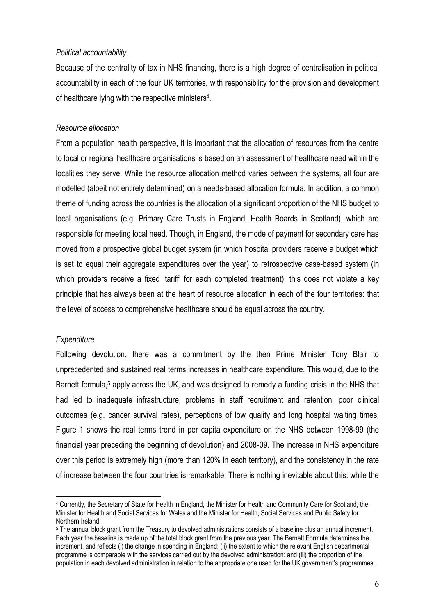#### *Political accountability*

Because of the centrality of tax in NHS financing, there is a high degree of centralisation in political accountability in each of the four UK territories, with responsibility for the provision and development of healthcare lying with the respective ministers<sup>4</sup>.

## *Resource allocation*

From a population health perspective, it is important that the allocation of resources from the centre to local or regional healthcare organisations is based on an assessment of healthcare need within the localities they serve. While the resource allocation method varies between the systems, all four are modelled (albeit not entirely determined) on a needs-based allocation formula. In addition, a common theme of funding across the countries is the allocation of a significant proportion of the NHS budget to local organisations (e.g. Primary Care Trusts in England, Health Boards in Scotland), which are responsible for meeting local need. Though, in England, the mode of payment for secondary care has moved from a prospective global budget system (in which hospital providers receive a budget which is set to equal their aggregate expenditures over the year) to retrospective case-based system (in which providers receive a fixed 'tariff' for each completed treatment), this does not violate a key principle that has always been at the heart of resource allocation in each of the four territories: that the level of access to comprehensive healthcare should be equal across the country.

#### *Expenditure*

 $\overline{a}$ 

Following devolution, there was a commitment by the then Prime Minister Tony Blair to unprecedented and sustained real terms increases in healthcare expenditure. This would, due to the Barnett formula,<sup>5</sup> apply across the UK, and was designed to remedy a funding crisis in the NHS that had led to inadequate infrastructure, problems in staff recruitment and retention, poor clinical outcomes (e.g. cancer survival rates), perceptions of low quality and long hospital waiting times. Figure 1 shows the real terms trend in per capita expenditure on the NHS between 1998-99 (the financial year preceding the beginning of devolution) and 2008-09. The increase in NHS expenditure over this period is extremely high (more than 120% in each territory), and the consistency in the rate of increase between the four countries is remarkable. There is nothing inevitable about this: while the

<sup>4</sup> Currently, the Secretary of State for Health in England, the Minister for Health and Community Care for Scotland, the Minister for Health and Social Services for Wales and the Minister for Health, Social Services and Public Safety for Northern Ireland.

<sup>5</sup> The annual block grant from the Treasury to devolved administrations consists of a baseline plus an annual increment. Each year the baseline is made up of the total block grant from the previous year. The Barnett Formula determines the increment, and reflects (i) the change in spending in England; (ii) the extent to which the relevant English departmental programme is comparable with the services carried out by the devolved administration; and (iii) the proportion of the population in each devolved administration in relation to the appropriate one used for the UK government's programmes.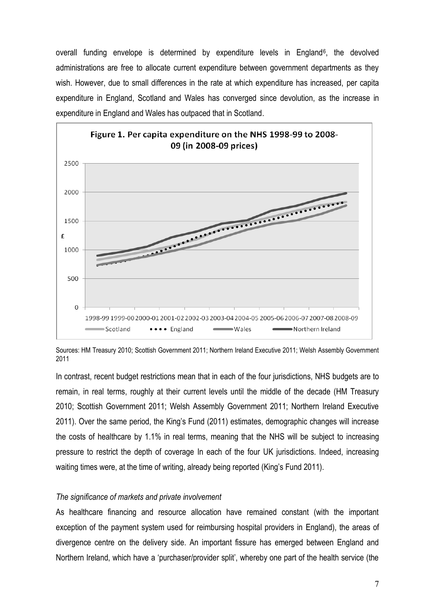overall funding envelope is determined by expenditure levels in England<sup>6</sup>, the devolved administrations are free to allocate current expenditure between government departments as they wish. However, due to small differences in the rate at which expenditure has increased, per capita expenditure in England, Scotland and Wales has converged since devolution, as the increase in expenditure in England and Wales has outpaced that in Scotland.



Sources: HM Treasury 2010; Scottish Government 2011; Northern Ireland Executive 2011; Welsh Assembly Government 2011

In contrast, recent budget restrictions mean that in each of the four jurisdictions, NHS budgets are to remain, in real terms, roughly at their current levels until the middle of the decade (HM Treasury 2010; Scottish Government 2011; Welsh Assembly Government 2011; Northern Ireland Executive 2011). Over the same period, the King's Fund (2011) estimates, demographic changes will increase the costs of healthcare by 1.1% in real terms, meaning that the NHS will be subject to increasing pressure to restrict the depth of coverage In each of the four UK jurisdictions. Indeed, increasing waiting times were, at the time of writing, already being reported (King's Fund 2011).

#### *The significance of markets and private involvement*

As healthcare financing and resource allocation have remained constant (with the important exception of the payment system used for reimbursing hospital providers in England), the areas of divergence centre on the delivery side. An important fissure has emerged between England and Northern Ireland, which have a 'purchaser/provider split', whereby one part of the health service (the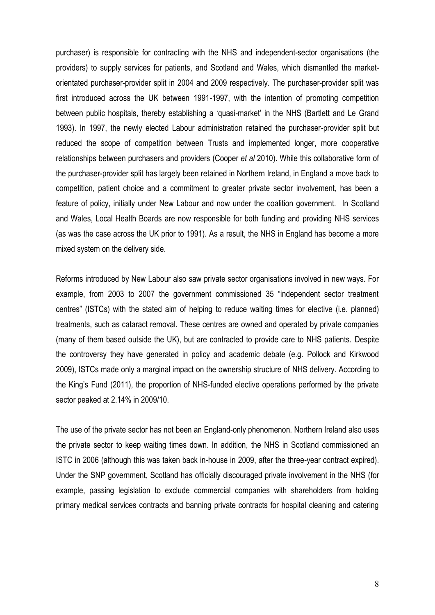purchaser) is responsible for contracting with the NHS and independent-sector organisations (the providers) to supply services for patients, and Scotland and Wales, which dismantled the marketorientated purchaser-provider split in 2004 and 2009 respectively. The purchaser-provider split was first introduced across the UK between 1991-1997, with the intention of promoting competition between public hospitals, thereby establishing a 'quasi-market' in the NHS (Bartlett and Le Grand 1993). In 1997, the newly elected Labour administration retained the purchaser-provider split but reduced the scope of competition between Trusts and implemented longer, more cooperative relationships between purchasers and providers (Cooper *et al* 2010). While this collaborative form of the purchaser-provider split has largely been retained in Northern Ireland, in England a move back to competition, patient choice and a commitment to greater private sector involvement, has been a feature of policy, initially under New Labour and now under the coalition government. In Scotland and Wales, Local Health Boards are now responsible for both funding and providing NHS services (as was the case across the UK prior to 1991). As a result, the NHS in England has become a more mixed system on the delivery side.

Reforms introduced by New Labour also saw private sector organisations involved in new ways. For example, from 2003 to 2007 the government commissioned 35 "independent sector treatment centres" (ISTCs) with the stated aim of helping to reduce waiting times for elective (i.e. planned) treatments, such as cataract removal. These centres are owned and operated by private companies (many of them based outside the UK), but are contracted to provide care to NHS patients. Despite the controversy they have generated in policy and academic debate (e.g. Pollock and Kirkwood 2009), ISTCs made only a marginal impact on the ownership structure of NHS delivery. According to the King's Fund (2011), the proportion of NHS-funded elective operations performed by the private sector peaked at 2.14% in 2009/10.

The use of the private sector has not been an England-only phenomenon. Northern Ireland also uses the private sector to keep waiting times down. In addition, the NHS in Scotland commissioned an ISTC in 2006 (although this was taken back in-house in 2009, after the three-year contract expired). Under the SNP government, Scotland has officially discouraged private involvement in the NHS (for example, passing legislation to exclude commercial companies with shareholders from holding primary medical services contracts and banning private contracts for hospital cleaning and catering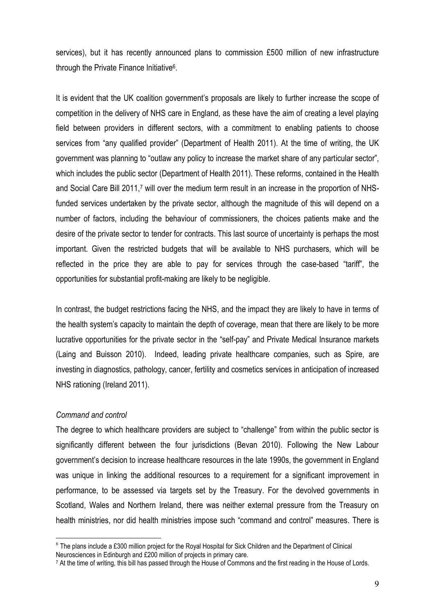services), but it has recently announced plans to commission £500 million of new infrastructure through the Private Finance Initiative<sup>6</sup>.

It is evident that the UK coalition government's proposals are likely to further increase the scope of competition in the delivery of NHS care in England, as these have the aim of creating a level playing field between providers in different sectors, with a commitment to enabling patients to choose services from "any qualified provider" (Department of Health 2011). At the time of writing, the UK government was planning to "outlaw any policy to increase the market share of any particular sector", which includes the public sector (Department of Health 2011). These reforms, contained in the Health and Social Care Bill 2011,<sup>7</sup> will over the medium term result in an increase in the proportion of NHSfunded services undertaken by the private sector, although the magnitude of this will depend on a number of factors, including the behaviour of commissioners, the choices patients make and the desire of the private sector to tender for contracts. This last source of uncertainty is perhaps the most important. Given the restricted budgets that will be available to NHS purchasers, which will be reflected in the price they are able to pay for services through the case-based "tariff", the opportunities for substantial profit-making are likely to be negligible.

In contrast, the budget restrictions facing the NHS, and the impact they are likely to have in terms of the health system's capacity to maintain the depth of coverage, mean that there are likely to be more lucrative opportunities for the private sector in the "self-pay" and Private Medical Insurance markets (Laing and Buisson 2010). Indeed, leading private healthcare companies, such as Spire, are investing in diagnostics, pathology, cancer, fertility and cosmetics services in anticipation of increased NHS rationing (Ireland 2011).

## *Command and control*

 $\overline{a}$ 

The degree to which healthcare providers are subject to "challenge" from within the public sector is significantly different between the four jurisdictions (Bevan 2010). Following the New Labour government's decision to increase healthcare resources in the late 1990s, the government in England was unique in linking the additional resources to a requirement for a significant improvement in performance, to be assessed via targets set by the Treasury. For the devolved governments in Scotland, Wales and Northern Ireland, there was neither external pressure from the Treasury on health ministries, nor did health ministries impose such "command and control" measures. There is

 $^6$  The plans include a £300 million project for the Royal Hospital for Sick Children and the Department of Clinical Neurosciences in Edinburgh and £200 million of projects in primary care.

<sup>&</sup>lt;sup>7</sup> At the time of writing, this bill has passed through the House of Commons and the first reading in the House of Lords.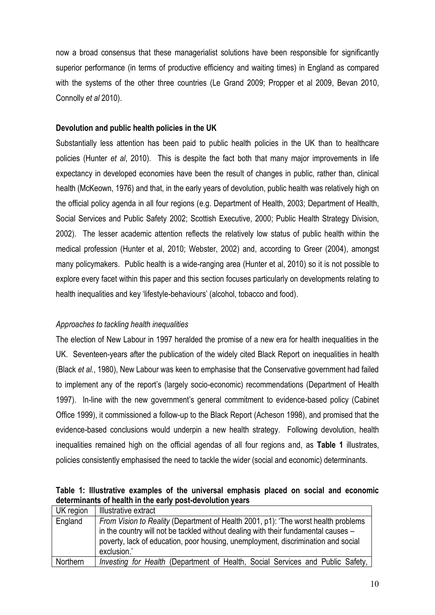now a broad consensus that these managerialist solutions have been responsible for significantly superior performance (in terms of productive efficiency and waiting times) in England as compared with the systems of the other three countries (Le Grand 2009; Propper et al 2009, Bevan 2010, Connolly *et al* 2010).

## **Devolution and public health policies in the UK**

Substantially less attention has been paid to public health policies in the UK than to healthcare policies (Hunter *et al*, 2010). This is despite the fact both that many major improvements in life expectancy in developed economies have been the result of changes in public, rather than, clinical health (McKeown, 1976) and that, in the early years of devolution, public health was relatively high on the official policy agenda in all four regions (e.g. Department of Health, 2003; Department of Health, Social Services and Public Safety 2002; Scottish Executive, 2000; Public Health Strategy Division, 2002). The lesser academic attention reflects the relatively low status of public health within the medical profession (Hunter et al, 2010; Webster, 2002) and, according to Greer (2004), amongst many policymakers. Public health is a wide-ranging area (Hunter et al, 2010) so it is not possible to explore every facet within this paper and this section focuses particularly on developments relating to health inequalities and key 'lifestyle-behaviours' (alcohol, tobacco and food).

## *Approaches to tackling health inequalities*

The election of New Labour in 1997 heralded the promise of a new era for health inequalities in the UK. Seventeen-years after the publication of the widely cited Black Report on inequalities in health (Black *et al.*, 1980), New Labour was keen to emphasise that the Conservative government had failed to implement any of the report's (largely socio-economic) recommendations (Department of Health 1997). In-line with the new government's general commitment to evidence-based policy (Cabinet Office 1999), it commissioned a follow-up to the Black Report (Acheson 1998), and promised that the evidence-based conclusions would underpin a new health strategy. Following devolution, health inequalities remained high on the official agendas of all four regions and, as **Table 1** illustrates, policies consistently emphasised the need to tackle the wider (social and economic) determinants.

| Table 1: Illustrative examples of the universal emphasis placed on social and economic |  |  |  |  |  |
|----------------------------------------------------------------------------------------|--|--|--|--|--|
| determinants of health in the early post-devolution years                              |  |  |  |  |  |

| UK region | Illustrative extract                                                                                                                                                                                                                                                         |  |  |  |  |
|-----------|------------------------------------------------------------------------------------------------------------------------------------------------------------------------------------------------------------------------------------------------------------------------------|--|--|--|--|
| England   | From Vision to Reality (Department of Health 2001, p1): 'The worst health problems<br>in the country will not be tackled without dealing with their fundamental causes –<br>poverty, lack of education, poor housing, unemployment, discrimination and social<br>exclusion.' |  |  |  |  |
| Northern  | Investing for Health (Department of Health, Social Services and Public Safety,                                                                                                                                                                                               |  |  |  |  |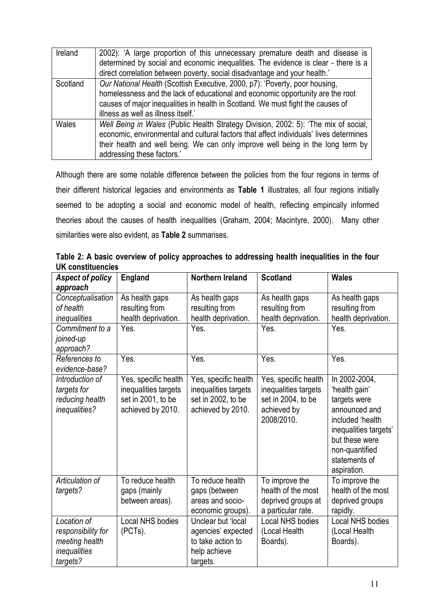| Ireland  | 2002): 'A large proportion of this unnecessary premature death and disease is          |  |  |  |
|----------|----------------------------------------------------------------------------------------|--|--|--|
|          | determined by social and economic inequalities. The evidence is clear - there is a     |  |  |  |
|          | direct correlation between poverty, social disadvantage and your health.'              |  |  |  |
| Scotland | Our National Health (Scottish Executive, 2000, p7): 'Poverty, poor housing,            |  |  |  |
|          | homelessness and the lack of educational and economic opportunity are the root         |  |  |  |
|          | causes of major inequalities in health in Scotland. We must fight the causes of        |  |  |  |
|          | illness as well as illness itself."                                                    |  |  |  |
| Wales    | Well Being in Wales (Public Health Strategy Division, 2002: 5): 'The mix of social,    |  |  |  |
|          | economic, environmental and cultural factors that affect individuals' lives determines |  |  |  |
|          | their health and well being. We can only improve well being in the long term by        |  |  |  |
|          | addressing these factors.'                                                             |  |  |  |

Although there are some notable difference between the policies from the four regions in terms of their different historical legacies and environments as **Table 1** illustrates, all four regions initially seemed to be adopting a social and economic model of health, reflecting empirically informed theories about the causes of health inequalities (Graham, 2004; Macintyre, 2000). Many other similarities were also evident, as **Table 2** summarises.

**Table 2: A basic overview of policy approaches to addressing health inequalities in the four UK constituencies**

| <b>Aspect of policy</b>         | <b>England</b>              | Northern Ireland            | <b>Scotland</b>             | <b>Wales</b>                            |
|---------------------------------|-----------------------------|-----------------------------|-----------------------------|-----------------------------------------|
| approach                        |                             |                             |                             |                                         |
| Conceptualisation               | As health gaps              | As health gaps              | As health gaps              | As health gaps                          |
| of health                       | resulting from              | resulting from              | resulting from              | resulting from                          |
| inequalities<br>Commitment to a | health deprivation.<br>Yes. | health deprivation.<br>Yes. | health deprivation.<br>Yes. | health deprivation.<br>Yes.             |
| joined-up                       |                             |                             |                             |                                         |
| approach?                       |                             |                             |                             |                                         |
| References to                   | Yes.                        | Yes.                        | Yes.                        | Yes.                                    |
| evidence-base?                  |                             |                             |                             |                                         |
| Introduction of                 | Yes, specific health        | Yes, specific health        | Yes, specific health        | In 2002-2004,                           |
| targets for                     | inequalities targets        | inequalities targets        | inequalities targets        | 'health gain'                           |
| reducing health                 | set in 2001, to be          | set in 2002, to be          | set in 2004, to be          | targets were                            |
| inequalities?                   | achieved by 2010.           | achieved by 2010.           | achieved by                 | announced and                           |
|                                 |                             |                             | 2008/2010.                  | included 'health                        |
|                                 |                             |                             |                             | inequalities targets'<br>but these were |
|                                 |                             |                             |                             |                                         |
|                                 |                             |                             |                             | non-quantified<br>statements of         |
|                                 |                             |                             |                             | aspiration.                             |
| Articulation of                 | To reduce health            | To reduce health            | To improve the              | To improve the                          |
| targets?                        | gaps (mainly                | gaps (between               | health of the most          | health of the most                      |
|                                 | between areas).             | areas and socio-            | deprived groups at          | deprived groups                         |
|                                 |                             | economic groups).           | a particular rate.          | rapidly.                                |
| Location of                     | <b>Local NHS bodies</b>     | Unclear but 'local          | <b>Local NHS bodies</b>     | Local NHS bodies                        |
| responsibility for              | (PCTs).                     | agencies' expected          | (Local Health               | (Local Health                           |
| meeting health                  |                             | to take action to           | Boards).                    | Boards).                                |
| inequalities                    |                             | help achieve                |                             |                                         |
| targets?                        |                             | targets.                    |                             |                                         |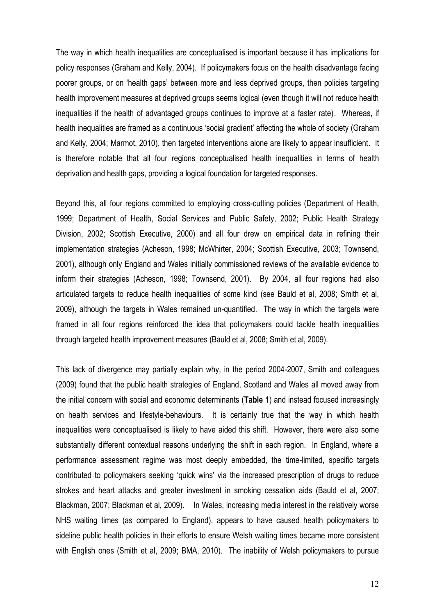The way in which health inequalities are conceptualised is important because it has implications for policy responses (Graham and Kelly, 2004). If policymakers focus on the health disadvantage facing poorer groups, or on 'health gaps' between more and less deprived groups, then policies targeting health improvement measures at deprived groups seems logical (even though it will not reduce health inequalities if the health of advantaged groups continues to improve at a faster rate). Whereas, if health inequalities are framed as a continuous 'social gradient' affecting the whole of society (Graham and Kelly, 2004; Marmot, 2010), then targeted interventions alone are likely to appear insufficient. It is therefore notable that all four regions conceptualised health inequalities in terms of health deprivation and health gaps, providing a logical foundation for targeted responses.

Beyond this, all four regions committed to employing cross-cutting policies (Department of Health, 1999; Department of Health, Social Services and Public Safety, 2002; Public Health Strategy Division, 2002; Scottish Executive, 2000) and all four drew on empirical data in refining their implementation strategies (Acheson, 1998; McWhirter, 2004; Scottish Executive, 2003; Townsend, 2001), although only England and Wales initially commissioned reviews of the available evidence to inform their strategies (Acheson, 1998; Townsend, 2001). By 2004, all four regions had also articulated targets to reduce health inequalities of some kind (see Bauld et al, 2008; Smith et al, 2009), although the targets in Wales remained un-quantified. The way in which the targets were framed in all four regions reinforced the idea that policymakers could tackle health inequalities through targeted health improvement measures (Bauld et al, 2008; Smith et al, 2009).

This lack of divergence may partially explain why, in the period 2004-2007, Smith and colleagues (2009) found that the public health strategies of England, Scotland and Wales all moved away from the initial concern with social and economic determinants (**Table 1**) and instead focused increasingly on health services and lifestyle-behaviours. It is certainly true that the way in which health inequalities were conceptualised is likely to have aided this shift. However, there were also some substantially different contextual reasons underlying the shift in each region. In England, where a performance assessment regime was most deeply embedded, the time-limited, specific targets contributed to policymakers seeking 'quick wins' via the increased prescription of drugs to reduce strokes and heart attacks and greater investment in smoking cessation aids (Bauld et al, 2007; Blackman, 2007; Blackman et al, 2009). In Wales, increasing media interest in the relatively worse NHS waiting times (as compared to England), appears to have caused health policymakers to sideline public health policies in their efforts to ensure Welsh waiting times became more consistent with English ones (Smith et al, 2009; BMA, 2010). The inability of Welsh policymakers to pursue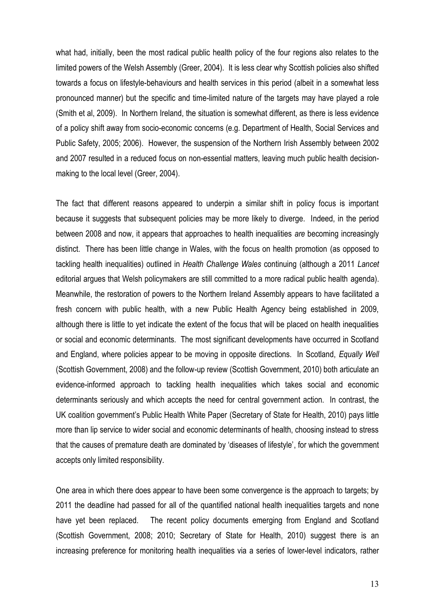what had, initially, been the most radical public health policy of the four regions also relates to the limited powers of the Welsh Assembly (Greer, 2004). It is less clear why Scottish policies also shifted towards a focus on lifestyle-behaviours and health services in this period (albeit in a somewhat less pronounced manner) but the specific and time-limited nature of the targets may have played a role (Smith et al, 2009). In Northern Ireland, the situation is somewhat different, as there is less evidence of a policy shift away from socio-economic concerns (e.g. Department of Health, Social Services and Public Safety, 2005; 2006). However, the suspension of the Northern Irish Assembly between 2002 and 2007 resulted in a reduced focus on non-essential matters, leaving much public health decisionmaking to the local level (Greer, 2004).

The fact that different reasons appeared to underpin a similar shift in policy focus is important because it suggests that subsequent policies may be more likely to diverge. Indeed, in the period between 2008 and now, it appears that approaches to health inequalities *are* becoming increasingly distinct. There has been little change in Wales, with the focus on health promotion (as opposed to tackling health inequalities) outlined in *Health Challenge Wales* continuing (although a 2011 *Lancet* editorial argues that Welsh policymakers are still committed to a more radical public health agenda). Meanwhile, the restoration of powers to the Northern Ireland Assembly appears to have facilitated a fresh concern with public health, with a new Public Health Agency being established in 2009, although there is little to yet indicate the extent of the focus that will be placed on health inequalities or social and economic determinants. The most significant developments have occurred in Scotland and England, where policies appear to be moving in opposite directions. In Scotland, *Equally Well* (Scottish Government, 2008) and the follow-up review (Scottish Government, 2010) both articulate an evidence-informed approach to tackling health inequalities which takes social and economic determinants seriously and which accepts the need for central government action. In contrast, the UK coalition government's Public Health White Paper (Secretary of State for Health, 2010) pays little more than lip service to wider social and economic determinants of health, choosing instead to stress that the causes of premature death are dominated by 'diseases of lifestyle', for which the government accepts only limited responsibility.

One area in which there does appear to have been some convergence is the approach to targets; by 2011 the deadline had passed for all of the quantified national health inequalities targets and none have yet been replaced. The recent policy documents emerging from England and Scotland (Scottish Government, 2008; 2010; Secretary of State for Health, 2010) suggest there is an increasing preference for monitoring health inequalities via a series of lower-level indicators, rather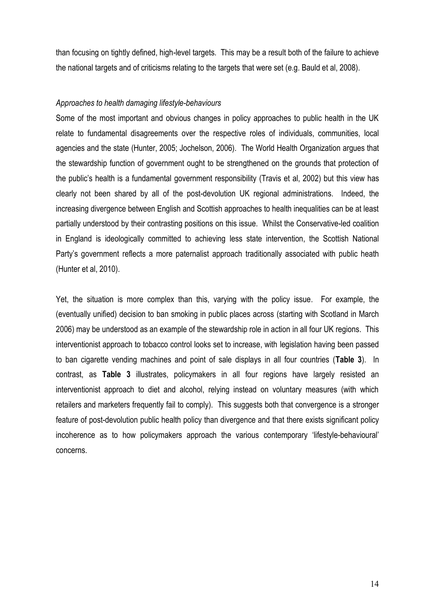than focusing on tightly defined, high-level targets. This may be a result both of the failure to achieve the national targets and of criticisms relating to the targets that were set (e.g. Bauld et al, 2008).

### *Approaches to health damaging lifestyle-behaviours*

Some of the most important and obvious changes in policy approaches to public health in the UK relate to fundamental disagreements over the respective roles of individuals, communities, local agencies and the state (Hunter, 2005; Jochelson, 2006). The World Health Organization argues that the stewardship function of government ought to be strengthened on the grounds that protection of the public's health is a fundamental government responsibility (Travis et al, 2002) but this view has clearly not been shared by all of the post-devolution UK regional administrations. Indeed, the increasing divergence between English and Scottish approaches to health inequalities can be at least partially understood by their contrasting positions on this issue. Whilst the Conservative-led coalition in England is ideologically committed to achieving less state intervention, the Scottish National Party's government reflects a more paternalist approach traditionally associated with public heath (Hunter et al, 2010).

Yet, the situation is more complex than this, varying with the policy issue. For example, the (eventually unified) decision to ban smoking in public places across (starting with Scotland in March 2006) may be understood as an example of the stewardship role in action in all four UK regions. This interventionist approach to tobacco control looks set to increase, with legislation having been passed to ban cigarette vending machines and point of sale displays in all four countries (**Table 3**). In contrast, as **Table 3** illustrates, policymakers in all four regions have largely resisted an interventionist approach to diet and alcohol, relying instead on voluntary measures (with which retailers and marketers frequently fail to comply). This suggests both that convergence is a stronger feature of post-devolution public health policy than divergence and that there exists significant policy incoherence as to how policymakers approach the various contemporary 'lifestyle-behavioural' concerns.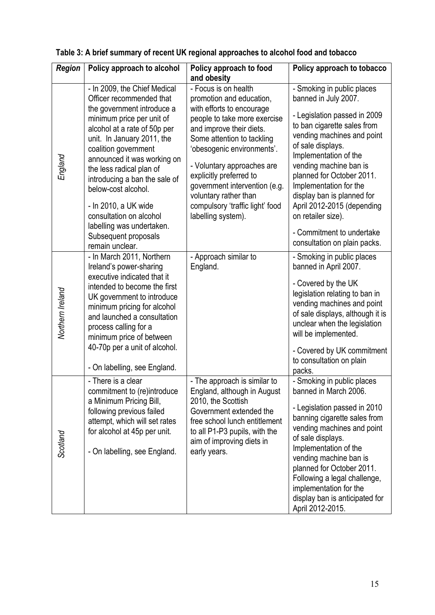| <b>Region</b>    | Policy approach to alcohol                                                                                                                                                                                                                                                                                                                                                                                                                              | Policy approach to food<br>and obesity                                                                                                                                                                                                                                                                                                                                            | Policy approach to tobacco                                                                                                                                                                                                                                                                                                                                                                                                    |  |  |
|------------------|---------------------------------------------------------------------------------------------------------------------------------------------------------------------------------------------------------------------------------------------------------------------------------------------------------------------------------------------------------------------------------------------------------------------------------------------------------|-----------------------------------------------------------------------------------------------------------------------------------------------------------------------------------------------------------------------------------------------------------------------------------------------------------------------------------------------------------------------------------|-------------------------------------------------------------------------------------------------------------------------------------------------------------------------------------------------------------------------------------------------------------------------------------------------------------------------------------------------------------------------------------------------------------------------------|--|--|
| England          | - In 2009, the Chief Medical<br>Officer recommended that<br>the government introduce a<br>minimum price per unit of<br>alcohol at a rate of 50p per<br>unit. In January 2011, the<br>coalition government<br>announced it was working on<br>the less radical plan of<br>introducing a ban the sale of<br>below-cost alcohol.<br>- In 2010, a UK wide<br>consultation on alcohol<br>labelling was undertaken.<br>Subsequent proposals<br>remain unclear. | - Focus is on health<br>promotion and education,<br>with efforts to encourage<br>people to take more exercise<br>and improve their diets.<br>Some attention to tackling<br>'obesogenic environments'.<br>- Voluntary approaches are<br>explicitly preferred to<br>government intervention (e.g.<br>voluntary rather than<br>compulsory 'traffic light' food<br>labelling system). | - Smoking in public places<br>banned in July 2007.<br>- Legislation passed in 2009<br>to ban cigarette sales from<br>vending machines and point<br>of sale displays.<br>Implementation of the<br>vending machine ban is<br>planned for October 2011.<br>Implementation for the<br>display ban is planned for<br>April 2012-2015 (depending<br>on retailer size).<br>- Commitment to undertake<br>consultation on plain packs. |  |  |
| Northern Ireland | - In March 2011, Northern<br>Ireland's power-sharing<br>executive indicated that it<br>intended to become the first<br>UK government to introduce<br>minimum pricing for alcohol<br>and launched a consultation<br>process calling for a<br>minimum price of between<br>40-70p per a unit of alcohol.<br>- On labelling, see England.                                                                                                                   | - Approach similar to<br>England.                                                                                                                                                                                                                                                                                                                                                 | - Smoking in public places<br>banned in April 2007.<br>- Covered by the UK<br>legislation relating to ban in<br>vending machines and point<br>of sale displays, although it is<br>unclear when the legislation<br>will be implemented.<br>- Covered by UK commitment<br>to consultation on plain<br>packs.                                                                                                                    |  |  |
| Scotland         | - There is a clear<br>commitment to (re)introduce<br>a Minimum Pricing Bill,<br>following previous failed<br>attempt, which will set rates<br>for alcohol at 45p per unit.<br>- On labelling, see England.                                                                                                                                                                                                                                              | - The approach is similar to<br>England, although in August<br>2010, the Scottish<br>Government extended the<br>free school lunch entitlement<br>to all P1-P3 pupils, with the<br>aim of improving diets in<br>early years.                                                                                                                                                       | - Smoking in public places<br>banned in March 2006.<br>- Legislation passed in 2010<br>banning cigarette sales from<br>vending machines and point<br>of sale displays.<br>Implementation of the<br>vending machine ban is<br>planned for October 2011.<br>Following a legal challenge,<br>implementation for the<br>display ban is anticipated for<br>April 2012-2015.                                                        |  |  |

# **Table 3: A brief summary of recent UK regional approaches to alcohol food and tobacco**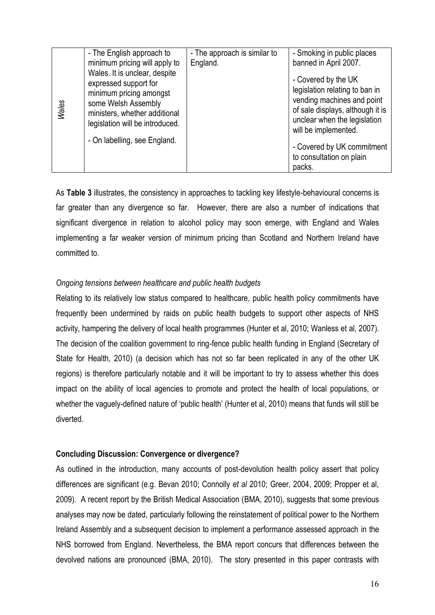|              | - The English approach to                                                                                                                                                                                    | - The approach is similar to | - Smoking in public places                                                                                                                                                                                                                          |
|--------------|--------------------------------------------------------------------------------------------------------------------------------------------------------------------------------------------------------------|------------------------------|-----------------------------------------------------------------------------------------------------------------------------------------------------------------------------------------------------------------------------------------------------|
|              | minimum pricing will apply to                                                                                                                                                                                | England.                     | banned in April 2007.                                                                                                                                                                                                                               |
| <b>Wales</b> | Wales. It is unclear, despite<br>expressed support for<br>minimum pricing amongst<br>some Welsh Assembly<br>ministers, whether additional<br>legislation will be introduced.<br>- On labelling, see England. |                              | - Covered by the UK<br>legislation relating to ban in<br>vending machines and point<br>of sale displays, although it is<br>unclear when the legislation<br>will be implemented.<br>- Covered by UK commitment<br>to consultation on plain<br>packs. |

As **Table 3** illustrates, the consistency in approaches to tackling key lifestyle-behavioural concerns is far greater than any divergence so far. However, there are also a number of indications that significant divergence in relation to alcohol policy may soon emerge, with England and Wales implementing a far weaker version of minimum pricing than Scotland and Northern Ireland have committed to.

## *Ongoing tensions between healthcare and public health budgets*

Relating to its relatively low status compared to healthcare, public health policy commitments have frequently been undermined by raids on public health budgets to support other aspects of NHS activity, hampering the delivery of local health programmes (Hunter et al, 2010; Wanless et al, 2007). The decision of the coalition government to ring-fence public health funding in England (Secretary of State for Health, 2010) (a decision which has not so far been replicated in any of the other UK regions) is therefore particularly notable and it will be important to try to assess whether this does impact on the ability of local agencies to promote and protect the health of local populations, or whether the vaguely-defined nature of 'public health' (Hunter et al, 2010) means that funds will still be diverted.

## **Concluding Discussion: Convergence or divergence?**

As outlined in the introduction, many accounts of post-devolution health policy assert that policy differences are significant (e.g. Bevan 2010; Connolly *et al* 2010; Greer, 2004, 2009; Propper et al, 2009). A recent report by the British Medical Association (BMA, 2010), suggests that some previous analyses may now be dated, particularly following the reinstatement of political power to the Northern Ireland Assembly and a subsequent decision to implement a performance assessed approach in the NHS borrowed from England. Nevertheless, the BMA report concurs that differences between the devolved nations are pronounced (BMA, 2010). The story presented in this paper contrasts with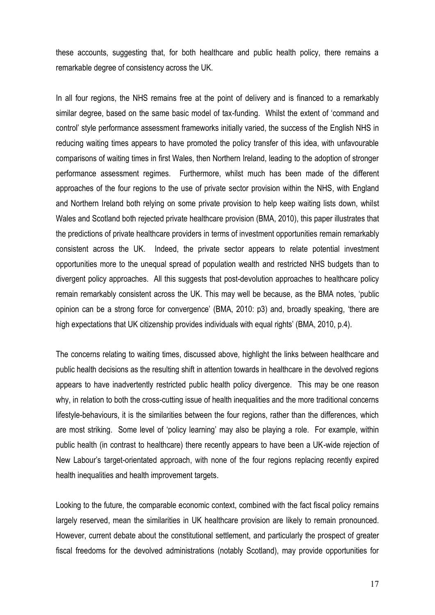these accounts, suggesting that, for both healthcare and public health policy, there remains a remarkable degree of consistency across the UK.

In all four regions, the NHS remains free at the point of delivery and is financed to a remarkably similar degree, based on the same basic model of tax-funding. Whilst the extent of 'command and control' style performance assessment frameworks initially varied, the success of the English NHS in reducing waiting times appears to have promoted the policy transfer of this idea, with unfavourable comparisons of waiting times in first Wales, then Northern Ireland, leading to the adoption of stronger performance assessment regimes. Furthermore, whilst much has been made of the different approaches of the four regions to the use of private sector provision within the NHS, with England and Northern Ireland both relying on some private provision to help keep waiting lists down, whilst Wales and Scotland both rejected private healthcare provision (BMA, 2010), this paper illustrates that the predictions of private healthcare providers in terms of investment opportunities remain remarkably consistent across the UK. Indeed, the private sector appears to relate potential investment opportunities more to the unequal spread of population wealth and restricted NHS budgets than to divergent policy approaches. All this suggests that post-devolution approaches to healthcare policy remain remarkably consistent across the UK. This may well be because, as the BMA notes, 'public opinion can be a strong force for convergence' (BMA, 2010: p3) and, broadly speaking, 'there are high expectations that UK citizenship provides individuals with equal rights' (BMA, 2010, p.4).

The concerns relating to waiting times, discussed above, highlight the links between healthcare and public health decisions as the resulting shift in attention towards in healthcare in the devolved regions appears to have inadvertently restricted public health policy divergence. This may be one reason why, in relation to both the cross-cutting issue of health inequalities and the more traditional concerns lifestyle-behaviours, it is the similarities between the four regions, rather than the differences, which are most striking. Some level of 'policy learning' may also be playing a role. For example, within public health (in contrast to healthcare) there recently appears to have been a UK-wide rejection of New Labour's target-orientated approach, with none of the four regions replacing recently expired health inequalities and health improvement targets.

Looking to the future, the comparable economic context, combined with the fact fiscal policy remains largely reserved, mean the similarities in UK healthcare provision are likely to remain pronounced. However, current debate about the constitutional settlement, and particularly the prospect of greater fiscal freedoms for the devolved administrations (notably Scotland), may provide opportunities for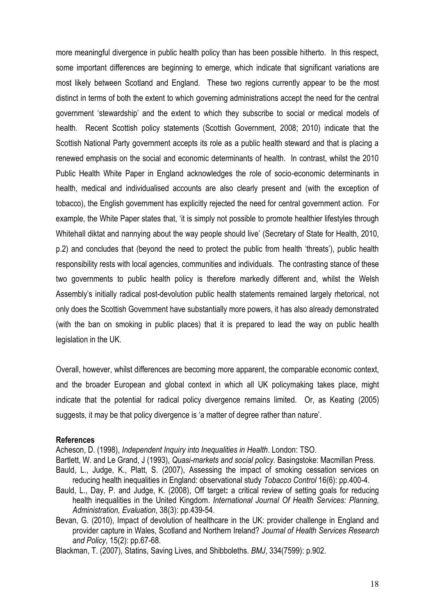more meaningful divergence in public health policy than has been possible hitherto. In this respect, some important differences are beginning to emerge, which indicate that significant variations are most likely between Scotland and England. These two regions currently appear to be the most distinct in terms of both the extent to which governing administrations accept the need for the central government 'stewardship' and the extent to which they subscribe to social or medical models of health. Recent Scottish policy statements (Scottish Government, 2008; 2010) indicate that the Scottish National Party government accepts its role as a public health steward and that is placing a renewed emphasis on the social and economic determinants of health. In contrast, whilst the 2010 Public Health White Paper in England acknowledges the role of socio-economic determinants in health, medical and individualised accounts are also clearly present and (with the exception of tobacco), the English government has explicitly rejected the need for central government action. For example, the White Paper states that, 'it is simply not possible to promote healthier lifestyles through Whitehall diktat and nannying about the way people should live' (Secretary of State for Health, 2010, p.2) and concludes that (beyond the need to protect the public from health 'threats'), public health responsibility rests with local agencies, communities and individuals. The contrasting stance of these two governments to public health policy is therefore markedly different and, whilst the Welsh Assembly's initially radical post-devolution public health statements remained largely rhetorical, not only does the Scottish Government have substantially more powers, it has also already demonstrated (with the ban on smoking in public places) that it is prepared to lead the way on public health legislation in the UK.

Overall, however, whilst differences are becoming more apparent, the comparable economic context, and the broader European and global context in which all UK policymaking takes place, might indicate that the potential for radical policy divergence remains limited. Or, as Keating (2005) suggests, it may be that policy divergence is 'a matter of degree rather than nature'.

#### **References**

Acheson, D. (1998), *Independent Inquiry into Inequalities in Health*. London: TSO.

- Bartlett, W. and Le Grand, J (1993), *Quasi-markets and social policy.* Basingstoke: Macmillan Press. Bauld, L., Judge, K., Platt, S. (2007), Assessing the impact of smoking cessation services on reducing health inequalities in England: observational study *Tobacco Control* 16(6): pp.400-4.
- Bauld, L., Day, P. and Judge, K. (2008), Off target**:** a critical review of setting goals for reducing health inequalities in the United Kingdom. *International Journal Of Health Services: Planning, Administration, Evaluation*, 38(3): pp.439-54.
- Bevan, G. (2010), Impact of devolution of healthcare in the UK: provider challenge in England and provider capture in Wales, Scotland and Northern Ireland? *Journal of Health Services Research and Policy*, 15(2): pp.67-68.

Blackman, T. (2007), Statins, Saving Lives, and Shibboleths. *BMJ,* 334(7599): p.902.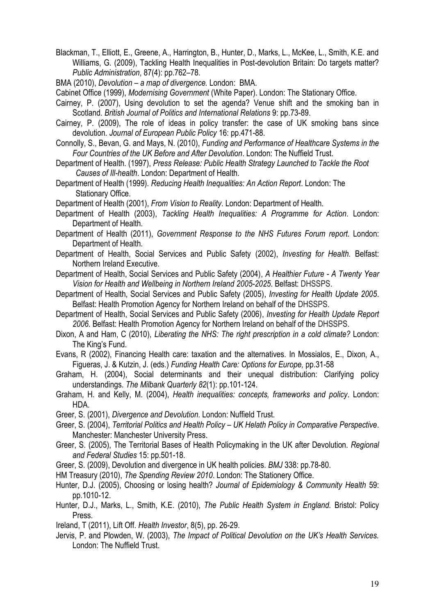- Blackman, T., Elliott, E., Greene, A., Harrington, B., Hunter, D., Marks, L., McKee, L., Smith, K.E. and Williams, G. (2009), Tackling Health Inequalities in Post-devolution Britain: Do targets matter? *Public Administration*, 87(4): pp.762–78.
- BMA (2010), *Devolution – a map of divergence.* London: BMA.
- Cabinet Office (1999), *Modernising Government* (White Paper). London: The Stationary Office.
- Cairney, P. (2007), Using devolution to set the agenda? Venue shift and the smoking ban in Scotland. *British Journal of Politics and International Relations* 9: pp.73-89.
- Cairney, P. (2009), The role of ideas in policy transfer: the case of UK smoking bans since devolution. *Journal of European Public Policy* 16: pp.471-88.
- Connolly, S., Bevan, G. and Mays, N. (2010), *Funding and Performance of Healthcare Systems in the Four Countries of the UK Before and After Devolution*. London: The Nuffield Trust.
- Department of Health. (1997), *Press Release: Public Health Strategy Launched to Tackle the Root Causes of Ill-health*. London: Department of Health.
- Department of Health (1999). *Reducing Health Inequalities: An Action Report*. London: The Stationary Office.
- Department of Health (2001), *From Vision to Reality*. London: Department of Health.
- Department of Health (2003), *Tackling Health Inequalities: A Programme for Action*. London: Department of Health.
- Department of Health (2011), *Government Response to the NHS Futures Forum report.* London: Department of Health.
- Department of Health, Social Services and Public Safety (2002), *Investing for Health.* Belfast: Northern Ireland Executive.
- Department of Health, Social Services and Public Safety (2004), *A Healthier Future - A Twenty Year Vision for Health and Wellbeing in Northern Ireland 2005-2025*. Belfast: DHSSPS.
- Department of Health, Social Services and Public Safety (2005), *Investing for Health Update 2005*. Belfast: Health Promotion Agency for Northern Ireland on behalf of the DHSSPS.
- Department of Health, Social Services and Public Safety (2006), *Investing for Health Update Report 2006*. Belfast: Health Promotion Agency for Northern Ireland on behalf of the DHSSPS.
- Dixon, A and Ham, C (2010), *Liberating the NHS: The right prescription in a cold climate?* London: The King's Fund.
- Evans, R (2002), Financing Health care: taxation and the alternatives. In Mossialos, E., Dixon, A., Figueras, J. & Kutzin, J. (eds.) *Funding Health Care: Options for Europe,* pp.31-58
- Graham, H. (2004), Social determinants and their unequal distribution: Clarifying policy understandings. *The Milbank Quarterly 82*(1): pp.101-124.
- Graham, H. and Kelly, M. (2004), *Health inequalities: concepts, frameworks and policy*. London: HDA.
- Greer, S. (2001), *Divergence and Devolution*. London: Nuffield Trust.
- Greer, S. (2004), *Territorial Politics and Health Policy – UK Helath Policy in Comparative Perspective*. Manchester: Manchester University Press.
- Greer, S. (2005), The Territorial Bases of Health Policymaking in the UK after Devolution. *Regional and Federal Studies* 15: pp.501-18.
- Greer, S. (2009), Devolution and divergence in UK health policies. *BMJ* 338: pp.78-80.
- HM Treasury (2010), *The Spending Review 2010*. London: The Stationery Office.
- Hunter, D.J. (2005), Choosing or losing health? *Journal of Epidemiology & Community Health* 59: pp.1010-12.
- Hunter, D.J., Marks, L., Smith, K.E. (2010), *[The Public Health System in England.](http://opus.bath.ac.uk/19014/)* Bristol: Policy Press.
- Ireland, T (2011), Lift Off. *Health Investor*, 8(5), pp. 26-29.
- Jervis, P. and Plowden, W. (2003), *The Impact of Political Devolution on the UK's Health Services.*  London: The Nuffield Trust.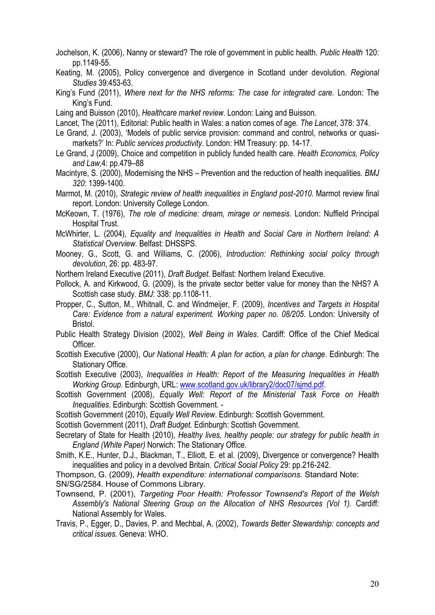- Jochelson, K. (2006), Nanny or steward? The role of government in public health. *Public Health* 120: pp.1149-55.
- Keating, M. (2005), Policy convergence and divergence in Scotland under devolution. *Regional Studies* 39:453-63.
- King's Fund (2011), *Where next for the NHS reforms: The case for integrated care.* London: The King's Fund.
- Laing and Buisson (2010), *Healthcare market review.* London: Laing and Buisson.
- Lancet, The (2011), Editorial: Public health in Wales: a nation comes of age. *The Lancet*, 378: 374.
- Le Grand, J. (2003), 'Models of public service provision: command and control, networks or quasimarkets?' In: *Public services productivity*. London: HM Treasury: pp. 14-17.
- Le Grand, J (2009), Choice and competition in publicly funded health care. *Health Economics, Policy and Law,*4: pp.479–88
- Macintyre, S. (2000), Modernising the NHS Prevention and the reduction of health inequalities. *BMJ 320*: 1399-1400.
- Marmot, M. (2010), *Strategic review of health inequalities in England post-2010*. Marmot review final report. London: University College London.
- McKeown, T. (1976), *The role of medicine: dream, mirage or nemesis*. London: Nuffield Principal Hospital Trust.
- McWhirter, L. (2004), *Equality and Inequalities in Health and Social Care in Northern Ireland: A Statistical Overview.* Belfast: DHSSPS.
- Mooney, G., Scott, G. and Williams, C. (2006), *Introduction: Rethinking social policy through devolution*, 26: pp. 483-97.
- Northern Ireland Executive (2011), *Draft Budget.* Belfast: Northern Ireland Executive.
- Pollock, A. and Kirkwood, G. (2009), Is the private sector better value for money than the NHS? A Scottish case study. *BMJ*: 338: pp.1108-11.
- Propper, C., Sutton, M., Whitnall, C. and Windmeijer, F. (2009), *Incentives and Targets in Hospital Care: Evidence from a natural experiment. Working paper no. 08/205*. London: University of Bristol.
- Public Health Strategy Division (2002), *Well Being in Wales*. Cardiff: Office of the Chief Medical Officer.
- Scottish Executive (2000), *Our National Health: A plan for action, a plan for change*. Edinburgh: The Stationary Office.
- Scottish Executive (2003), *Inequalities in Health: Report of the Measuring Inequalities in Health Working Group.* Edinburgh, URL: [www.scotland.gov.uk/library2/doc07/sjmd.pdf.](http://www.scotland.gov.uk/library2/doc07/sjmd.pdf)
- Scottish Government (2008), *Equally Well: Report of the Ministerial Task Force on Health Inequalities*. Edinburgh: Scottish Government. -
- Scottish Government (2010), *Equally Well Review*. Edinburgh: Scottish Government.
- Scottish Government (2011), *Draft Budget.* Edinburgh: Scottish Government.
- Secretary of State for Health (2010), *Healthy lives, healthy people: our strategy for public health in England (White Paper)* Norwich: The Stationary Office.
- Smith, K.E., Hunter, D.J., Blackman, T., Elliott, E. et al. (2009), Divergence or convergence? Health inequalities and policy in a devolved Britain. *Critical Social Policy* 29: pp.216-242.
- Thompson, G. (2009), *Health expenditure: international comparisons.* Standard Note:
- SN/SG/2584. House of Commons Library.
- Townsend, P. (2001), *Targeting Poor Health: Professor Townsend's Report of the Welsh Assembly's National Steering Group on the Allocation of NHS Resources (Vol 1).* Cardiff: National Assembly for Wales.
- Travis, P., Egger, D., Davies, P. and Mechbal, A. (2002), *Towards Better Stewardship: concepts and critical issues.* Geneva: WHO.